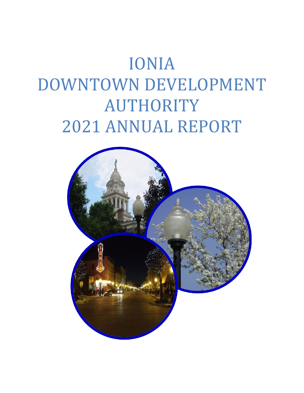# IONIA DOWNTOWN DEVELOPMENT AUTHORITY 2021 ANNUAL REPORT

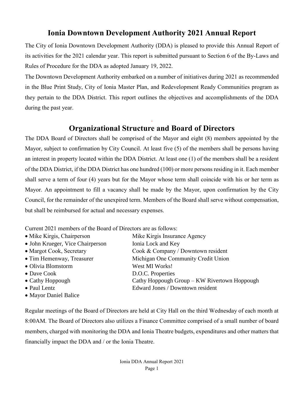# **Ionia Downtown Development Authority 2021 Annual Report**

The City of Ionia Downtown Development Authority (DDA) is pleased to provide this Annual Report of its activities for the 2021 calendar year. This report is submitted pursuant to Section 6 of the By-Laws and Rules of Procedure for the DDA as adopted January 19, 2022.

The Downtown Development Authority embarked on a number of initiatives during 2021 as recommended in the Blue Print Study, City of Ionia Master Plan, and Redevelopment Ready Communities program as they pertain to the DDA District. This report outlines the objectives and accomplishments of the DDA during the past year.

# **Organizational Structure and Board of Directors**

The DDA Board of Directors shall be comprised of the Mayor and eight (8) members appointed by the Mayor, subject to confirmation by City Council. At least five (5) of the members shall be persons having an interest in property located within the DDA District. At least one (1) of the members shall be a resident of the DDA District, if the DDA District has one hundred (100) or more persons residing in it. Each member shall serve a term of four (4) years but for the Mayor whose term shall coincide with his or her term as Mayor. An appointment to fill a vacancy shall be made by the Mayor, upon confirmation by the City Council, for the remainder of the unexpired term. Members of the Board shall serve without compensation, but shall be reimbursed for actual and necessary expenses.

Current 2021 members of the Board of Directors are as follows:

| • Mike Kirgis, Chairperson       | Mike Kirgis Insurance Agency                 |
|----------------------------------|----------------------------------------------|
| • John Krueger, Vice Chairperson | Ionia Lock and Key                           |
| • Margot Cook, Secretary         | Cook & Company / Downtown resident           |
| • Tim Hemenway, Treasurer        | Michigan One Community Credit Union          |
| • Olivia Blomstorm               | West MI Works!                               |
| $\bullet$ Dave Cook              | D.O.C. Properties                            |
| $\bullet$ Cathy Hoppough         | Cathy Hoppough Group - KW Rivertown Hoppough |
| • Paul Lentz                     | Edward Jones / Downtown resident             |
| • Mayor Daniel Balice            |                                              |

Regular meetings of the Board of Directors are held at City Hall on the third Wednesday of each month at 8:00AM. The Board of Directors also utilizes a Finance Committee comprised of a small number of board members, charged with monitoring the DDA and Ionia Theatre budgets, expenditures and other matters that financially impact the DDA and / or the Ionia Theatre.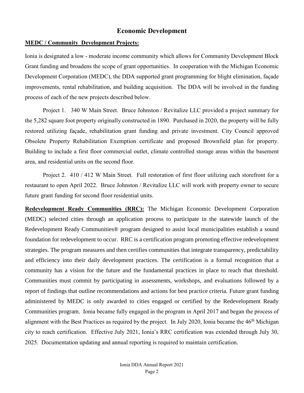# **Economic Development**

#### **MEDC / Community Development Projects:**

Ionia is designated a low - moderate income community which allows for Community Development Block Grant funding and broadens the scope of grant opportunities. In cooperation with the Michigan Economic Development Corporation (MEDC), the DDA supported grant programming for blight elimination, façade improvements, rental rehabilitation, and building acquisition. The DDA will be involved in the funding process of each of the new projects described below.

Project 1. 340 W Main Street. Bruce Johnston / Revitalize LLC provided a project summary for the 5,282 square foot property originally constructed in 1890. Purchased in 2020, the property will be fully restored utilizing façade, rehabilitation grant funding and private investment. City Council approved Obsolete Property Rehabilitation Exemption certificate and proposed Brownfield plan for property. Building to include a first floor commercial outlet, climate controlled storage areas within the basement area, and residential units on the second floor.

Project 2. 410 / 412 W Main Street. Full restoration of first floor utilizing each storefront for a restaurant to open April 2022. Bruce Johnston / Revitalize LLC will work with property owner to secure future grant funding for second floor residential units.

**Redevelopment Ready Communities (RRC):** The Michigan Economic Development Corporation (MEDC) selected cities through an application process to participate in the statewide launch of the Redevelopment Ready Communities® program designed to assist local municipalities establish a sound foundation for redevelopment to occur. RRC is a certification program promoting effective redevelopment strategies. The program measures and then certifies communities that integrate transparency, predictability and efficiency into their daily development practices. The certification is a formal recognition that a community has a vision for the future and the fundamental practices in place to reach that threshold. Communities must commit by participating in assessments, workshops, and evaluations followed by a report of findings that outline recommendations and actions for best practice criteria. Future grant funding administered by MEDC is only awarded to cities engaged or certified by the Redevelopment Ready Communities program. Ionia became fully engaged in the program in April 2017 and began the process of alignment with the Best Practices as required by the project. In July 2020, Ionia became the 46<sup>th</sup> Michigan city to reach certification. Effective July 2021, Ionia's RRC certification was extended through July 30, 2025. Documentation updating and annual reporting is required to maintain certification.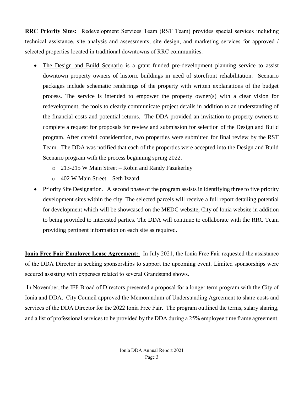**RRC Priority Sites:** Redevelopment Services Team (RST Team) provides special services including technical assistance, site analysis and assessments, site design, and marketing services for approved / selected properties located in traditional downtowns of RRC communities.

- The Design and Build Scenario is a grant funded pre-development planning service to assist downtown property owners of historic buildings in need of storefront rehabilitation. Scenario packages include schematic renderings of the property with written explanations of the budget process. The service is intended to empower the property owner(s) with a clear vision for redevelopment, the tools to clearly communicate project details in addition to an understanding of the financial costs and potential returns. The DDA provided an invitation to property owners to complete a request for proposals for review and submission for selection of the Design and Build program. After careful consideration, two properties were submitted for final review by the RST Team. The DDA was notified that each of the properties were accepted into the Design and Build Scenario program with the process beginning spring 2022.
	- o 213-215 W Main Street Robin and Randy Fazakerley
	- o 402 W Main Street Seth Izzard
- Priority Site Designation. A second phase of the program assists in identifying three to five priority development sites within the city. The selected parcels will receive a full report detailing potential for development which will be showcased on the MEDC website, City of Ionia website in addition to being provided to interested parties. The DDA will continue to collaborate with the RRC Team providing pertinent information on each site as required.

**Ionia Free Fair Employee Lease Agreement:** In July 2021, the Ionia Free Fair requested the assistance of the DDA Director in seeking sponsorships to support the upcoming event. Limited sponsorships were secured assisting with expenses related to several Grandstand shows.

In November, the IFF Broad of Directors presented a proposal for a longer term program with the City of Ionia and DDA. City Council approved the Memorandum of Understanding Agreement to share costs and services of the DDA Director for the 2022 Ionia Free Fair. The program outlined the terms, salary sharing, and a list of professional services to be provided by the DDA during a 25% employee time frame agreement.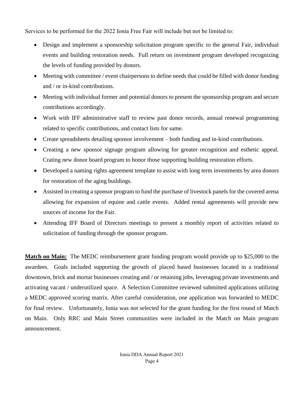Services to be performed for the 2022 Ionia Free Fair will include but not be limited to:

- Design and implement a sponsorship solicitation program specific to the general Fair, individual events and building restoration needs. Full return on investment program developed recognizing the levels of funding provided by donors.
- Meeting with committee / event chairpersons to define needs that could be filled with donor funding and / or in-kind contributions.
- Meeting with individual former and potential donors to present the sponsorship program and secure contributions accordingly.
- Work with IFF administrative staff to review past donor records, annual renewal programming related to specific contributions, and contact lists for same.
- Create spreadsheets detailing sponsor involvement both funding and in-kind contributions.
- Creating a new sponsor signage program allowing for greater recognition and esthetic appeal. Crating new donor board program to honor those supporting building restoration efforts.
- Developed a naming rights agreement template to assist with long term investments by area donors for restoration of the aging buildings.
- Assisted in creating a sponsor program to fund the purchase of livestock panels for the covered arena allowing for expansion of equine and cattle events. Added rental agreements will provide new sources of income for the Fair.
- Attending IFF Board of Directors meetings to present a monthly report of activities related to solicitation of funding through the sponsor program.

**Match on Main:** The MEDC reimbursement grant funding program would provide up to \$25,000 to the awardees. Goals included supporting the growth of placed based businesses located in a traditional downtown, brick and mortar businesses creating and / or retaining jobs, leveraging private investments and activating vacant / underutilized space. A Selection Committee reviewed submitted applications utilizing a MEDC approved scoring matrix. After careful consideration, one application was forwarded to MEDC for final review. Unfortunately, Ionia was not selected for the grant funding for the first round of Match on Main. Only RRC and Main Street communities were included in the Match on Main program announcement.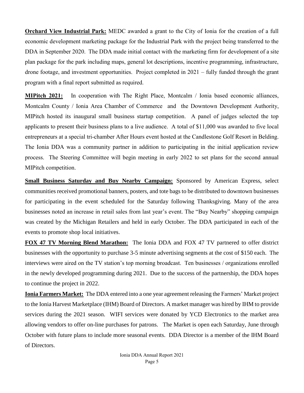**Orchard View Industrial Park:** MEDC awarded a grant to the City of Ionia for the creation of a full economic development marketing package for the Industrial Park with the project being transferred to the DDA in September 2020. The DDA made initial contact with the marketing firm for development of a site plan package for the park including maps, general lot descriptions, incentive programming, infrastructure, drone footage, and investment opportunities. Project completed in 2021 – fully funded through the grant program with a final report submitted as required.

**MIPitch 2021:** In cooperation with The Right Place, Montcalm / Ionia based economic alliances, Montcalm County / Ionia Area Chamber of Commerce and the Downtown Development Authority, MIPitch hosted its inaugural small business startup competition. A panel of judges selected the top applicants to present their business plans to a live audience. A total of \$11,000 was awarded to five local entrepreneurs at a special tri-chamber After Hours event hosted at the Candlestone Golf Resort in Belding. The Ionia DDA was a community partner in addition to participating in the initial application review process. The Steering Committee will begin meeting in early 2022 to set plans for the second annual MIPitch competition.

**Small Business Saturday and Buy Nearby Campaign:** Sponsored by American Express, select communities received promotional banners, posters, and tote bags to be distributed to downtown businesses for participating in the event scheduled for the Saturday following Thanksgiving. Many of the area businesses noted an increase in retail sales from last year's event. The "Buy Nearby" shopping campaign was created by the Michigan Retailers and held in early October. The DDA participated in each of the events to promote shop local initiatives.

**FOX 47 TV Morning Blend Marathon:** The Ionia DDA and FOX 47 TV partnered to offer district businesses with the opportunity to purchase 3-5 minute advertising segments at the cost of \$150 each. The interviews were aired on the TV station's top morning broadcast. Ten businesses / organizations enrolled in the newly developed programming during 2021. Due to the success of the partnership, the DDA hopes to continue the project in 2022.

**Ionia Farmers Market:** The DDA entered into a one year agreement releasing the Farmers' Market project to the Ionia Harvest Marketplace (IHM) Board of Directors. A market manager was hired by IHM to provide services during the 2021 season. WIFI services were donated by YCD Electronics to the market area allowing vendors to offer on-line purchases for patrons. The Market is open each Saturday, June through October with future plans to include more seasonal events. DDA Director is a member of the IHM Board of Directors.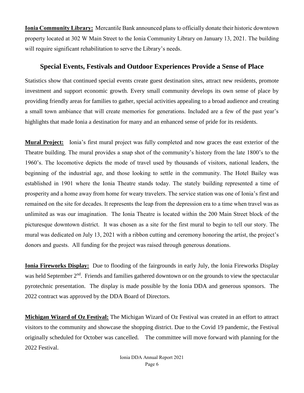**Ionia Community Library:** Mercantile Bank announced plans to officially donate their historic downtown property located at 302 W Main Street to the Ionia Community Library on January 13, 2021. The building will require significant rehabilitation to serve the Library's needs.

# **Special Events, Festivals and Outdoor Experiences Provide a Sense of Place**

Statistics show that continued special events create guest destination sites, attract new residents, promote investment and support economic growth. Every small community develops its own sense of place by providing friendly areas for families to gather, special activities appealing to a broad audience and creating a small town ambiance that will create memories for generations. Included are a few of the past year's highlights that made Ionia a destination for many and an enhanced sense of pride for its residents.

**Mural Project:** Ionia's first mural project was fully completed and now graces the east exterior of the Theatre building. The mural provides a snap shot of the community's history from the late 1800's to the 1960's. The locomotive depicts the mode of travel used by thousands of visitors, national leaders, the beginning of the industrial age, and those looking to settle in the community. The Hotel Bailey was established in 1901 where the Ionia Theatre stands today. The stately building represented a time of prosperity and a home away from home for weary travelers. The service station was one of Ionia's first and remained on the site for decades. It represents the leap from the depression era to a time when travel was as unlimited as was our imagination. The Ionia Theatre is located within the 200 Main Street block of the picturesque downtown district. It was chosen as a site for the first mural to begin to tell our story. The mural was dedicated on July 13, 2021 with a ribbon cutting and ceremony honoring the artist, the project's donors and guests. All funding for the project was raised through generous donations.

**Ionia Fireworks Display:** Due to flooding of the fairgrounds in early July, the Ionia Fireworks Display was held September 2<sup>nd</sup>. Friends and families gathered downtown or on the grounds to view the spectacular pyrotechnic presentation. The display is made possible by the Ionia DDA and generous sponsors. The 2022 contract was approved by the DDA Board of Directors.

**Michigan Wizard of Oz Festival:** The Michigan Wizard of Oz Festival was created in an effort to attract visitors to the community and showcase the shopping district. Due to the Covid 19 pandemic, the Festival originally scheduled for October was cancelled. The committee will move forward with planning for the 2022 Festival.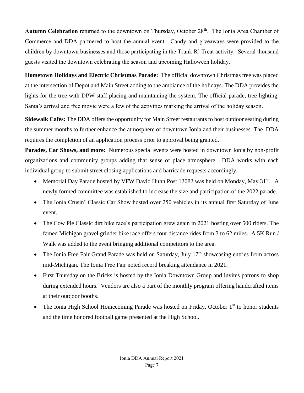Autumn Celebration returned to the downtown on Thursday, October 28<sup>th</sup>. The Ionia Area Chamber of Commerce and DDA partnered to host the annual event. Candy and giveaways were provided to the children by downtown businesses and those participating in the Trunk R' Treat activity. Several thousand guests visited the downtown celebrating the season and upcoming Halloween holiday.

**Hometown Holidays and Electric Christmas Parade:** The official downtown Christmas tree was placed at the intersection of Depot and Main Street adding to the ambiance of the holidays. The DDA provides the lights for the tree with DPW staff placing and maintaining the system. The official parade, tree lighting, Santa's arrival and free movie were a few of the activities marking the arrival of the holiday season.

**Sidewalk Cafés:** The DDA offers the opportunity for Main Street restaurants to host outdoor seating during the summer months to further enhance the atmosphere of downtown Ionia and their businesses. The DDA requires the completion of an application process prior to approval being granted.

**Parades, Car Shows, and more:** Numerous special events were hosted in downtown Ionia by non-profit organizations and community groups adding that sense of place atmosphere. DDA works with each individual group to submit street closing applications and barricade requests accordingly.

- Memorial Day Parade hosted by VFW David Huhn Post 12082 was held on Monday, May 31<sup>st</sup>. A newly formed committee was established to increase the size and participation of the 2022 parade.
- The Ionia Crusin' Classic Car Show hosted over 250 vehicles in its annual first Saturday of June event.
- The Cow Pie Classic dirt bike race's participation grew again in 2021 hosting over 500 riders. The famed Michigan gravel grinder bike race offers four distance rides from 3 to 62 miles. A 5K Run / Walk was added to the event bringing additional competitors to the area.
- The Ionia Free Fair Grand Parade was held on Saturday, July  $17<sup>th</sup>$  showcasing entries from across mid-Michigan. The Ionia Free Fair noted record breaking attendance in 2021.
- First Thursday on the Bricks is hosted by the Ionia Downtown Group and invites patrons to shop during extended hours. Vendors are also a part of the monthly program offering handcrafted items at their outdoor booths.
- The Ionia High School Homecoming Parade was hosted on Friday, October  $1<sup>st</sup>$  to honor students and the time honored football game presented at the High School.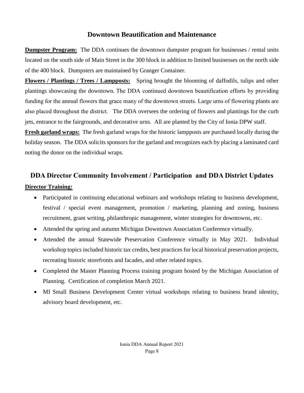# **Downtown Beautification and Maintenance**

**Dumpster Program:** The DDA continues the downtown dumpster program for businesses / rental units located on the south side of Main Street in the 300 block in addition to limited businesses on the north side of the 400 block. Dumpsters are maintained by Granger Container.

**Flowers / Plantings / Trees / Lampposts:** Spring brought the blooming of daffodils, tulips and other plantings showcasing the downtown. The DDA continued downtown beautification efforts by providing funding for the annual flowers that grace many of the downtown streets. Large urns of flowering plants are also placed throughout the district. The DDA oversees the ordering of flowers and plantings for the curb jets, entrance to the fairgrounds, and decorative urns. All are planted by the City of Ionia DPW staff.

**Fresh garland wraps:** The fresh garland wraps for the historic lampposts are purchased locally during the holiday season. The DDA solicits sponsors for the garland and recognizes each by placing a laminated card noting the donor on the individual wraps.

# **DDA Director Community Involvement / Participation and DDA District Updates Director Training:**

- Participated in continuing educational webinars and workshops relating to business development, festival / special event management, promotion / marketing, planning and zoning, business recruitment, grant writing, philanthropic management, winter strategies for downtowns, etc.
- Attended the spring and autumn Michigan Downtown Association Conference virtually.
- Attended the annual Statewide Preservation Conference virtually in May 2021. Individual workshop topics included historic tax credits, best practices for local historical preservation projects, recreating historic storefronts and facades, and other related topics.
- Completed the Master Planning Process training program hosted by the Michigan Association of Planning. Certification of completion March 2021.
- MI Small Business Development Center virtual workshops relating to business brand identity, advisory board development, etc.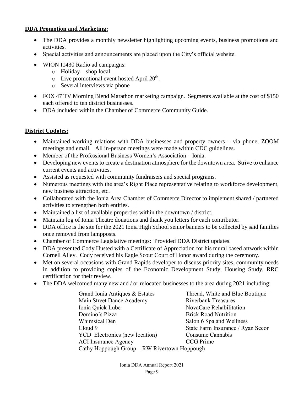## **DDA Promotion and Marketing:**

- The DDA provides a monthly newsletter highlighting upcoming events, business promotions and activities.
- Special activities and announcements are placed upon the City's official website.
- WION I1430 Radio ad campaigns:
	- o Holiday shop local
	- $\circ$  Live promotional event hosted April 20<sup>th</sup>.
	- o Several interviews via phone
- FOX 47 TV Morning Blend Marathon marketing campaign. Segments available at the cost of \$150 each offered to ten district businesses.
- DDA included within the Chamber of Commerce Community Guide.

# **District Updates:**

- Maintained working relations with DDA businesses and property owners via phone, ZOOM meetings and email. All in-person meetings were made within CDC guidelines.
- Member of the Professional Business Women's Association Ionia.
- Developing new events to create a destination atmosphere for the downtown area. Strive to enhance current events and activities.
- Assisted as requested with community fundraisers and special programs.
- Numerous meetings with the area's Right Place representative relating to workforce development, new business attraction, etc.
- Collaborated with the Ionia Area Chamber of Commerce Director to implement shared / partnered activities to strengthen both entities.
- Maintained a list of available properties within the downtown / district.
- Maintain log of Ionia Theatre donations and thank you letters for each contributor.
- DDA office is the site for the 2021 Ionia High School senior banners to be collected by said families once removed from lampposts.
- Chamber of Commerce Legislative meetings: Provided DDA District updates.
- DDA presented Cody Husted with a Certificate of Appreciation for his mural based artwork within Cornell Alley. Cody received his Eagle Scout Court of Honor award during the ceremony.
- Met on several occasions with Grand Rapids developer to discuss priority sites, community needs in addition to providing copies of the Economic Development Study, Housing Study, RRC certification for their review.
- The DDA welcomed many new and / or relocated businesses to the area during 2021 including:

| Grand Ionia Antiques & Estates               | Thread, White and Blue Boutique   |  |  |
|----------------------------------------------|-----------------------------------|--|--|
| Main Street Dance Academy                    | <b>Riverbank Treasures</b>        |  |  |
| Ionia Quick Lube                             | NovaCare Rehabilitation           |  |  |
| Domino's Pizza                               | <b>Brick Road Nutrition</b>       |  |  |
| Whimsical Den                                | Salon 6 Spa and Wellness          |  |  |
| Cloud 9                                      | State Farm Insurance / Ryan Secor |  |  |
| YCD Electronics (new location)               | Consume Cannabis                  |  |  |
| <b>ACI</b> Insurance Agency                  | <b>CCG</b> Prime                  |  |  |
| Cathy Hoppough Group - RW Rivertown Hoppough |                                   |  |  |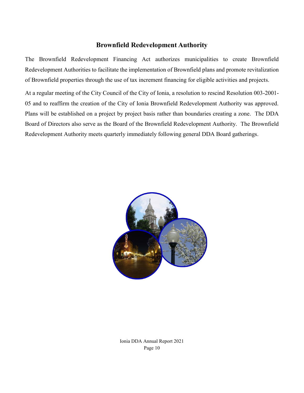# **Brownfield Redevelopment Authority**

The Brownfield Redevelopment Financing Act authorizes municipalities to create Brownfield Redevelopment Authorities to facilitate the implementation of Brownfield plans and promote revitalization of Brownfield properties through the use of tax increment financing for eligible activities and projects.

At a regular meeting of the City Council of the City of Ionia, a resolution to rescind Resolution 003-2001- 05 and to reaffirm the creation of the City of Ionia Brownfield Redevelopment Authority was approved. Plans will be established on a project by project basis rather than boundaries creating a zone. The DDA Board of Directors also serve as the Board of the Brownfield Redevelopment Authority. The Brownfield Redevelopment Authority meets quarterly immediately following general DDA Board gatherings.



Ionia DDA Annual Report 2021 Page 10